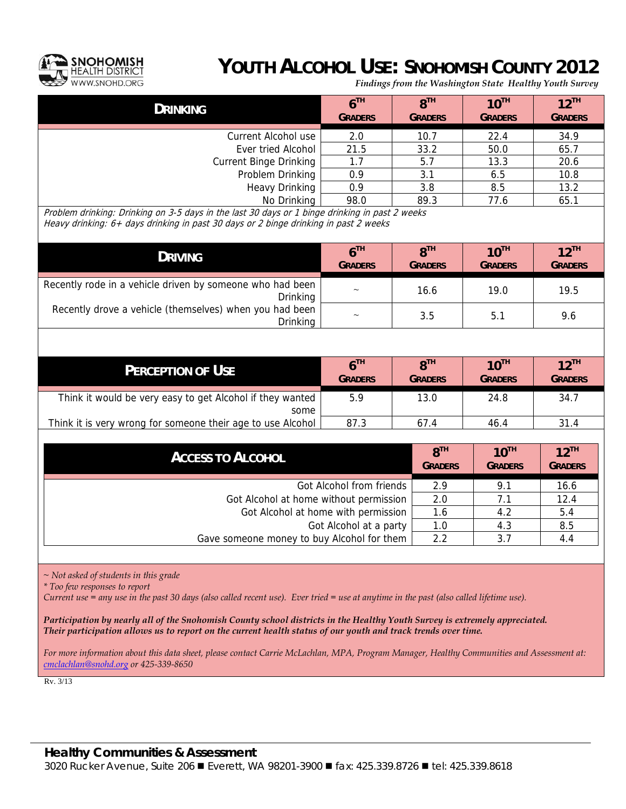

## **YOUTH ALCOHOL USE: SNOHOMISH COUNTY 2012**

*Findings from the Washington State Healthy Youth Survey*

| <b>DRINKING</b>               | 6 <sup>TH</sup><br><b>GRADERS</b> | $8^{TH}$<br><b>GRADERS</b> | $10^{TH}$<br><b>GRADERS</b> | $12$ <sup>TH</sup><br><b>GRADERS</b> |
|-------------------------------|-----------------------------------|----------------------------|-----------------------------|--------------------------------------|
| Current Alcohol use           | 2.0                               | 10.7                       | 22.4                        | 34.9                                 |
| Ever tried Alcohol            | 21.5                              | 33.2                       | 50.0                        | 65.7                                 |
| <b>Current Binge Drinking</b> | 1.7                               | 5.7                        | 13.3                        | 20.6                                 |
| Problem Drinking              | 0.9                               | 3.1                        | 6.5                         | 10.8                                 |
| <b>Heavy Drinking</b>         | 0.9                               | 3.8                        | 8.5                         | 13.2                                 |
| No Drinking                   | 98.0                              | 89.3                       | 77.6                        | 65.1                                 |

Problem drinking: Drinking on 3-5 days in the last 30 days or 1 binge drinking in past 2 weeks Heavy drinking: 6+ days drinking in past 30 days or 2 binge drinking in past 2 weeks

| <b>DRIVING</b>                                                               | 6 <sup>TH</sup><br><b>GRADERS</b> | $R^{TH}$<br><b>GRADERS</b> | $10^{TH}$<br><b>GRADERS</b> | $12$ <sup>TH</sup><br><b>GRADERS</b> |
|------------------------------------------------------------------------------|-----------------------------------|----------------------------|-----------------------------|--------------------------------------|
| Recently rode in a vehicle driven by someone who had been<br><b>Drinking</b> | $\tilde{}$                        | 16.6                       | 19.0                        | 19.5                                 |
| Recently drove a vehicle (themselves) when you had been<br><b>Drinking</b>   | $\widetilde{\phantom{m}}$         | 3.5                        | 5.1                         | 9.6                                  |

| <b>PERCEPTION OF USE</b>                                          | $6^{\text{th}}$<br><b>GRADERS</b> | $R^{TH}$<br><b>GRADERS</b> | $10^{TH}$<br><b>GRADERS</b> | $12$ <sup>TH</sup><br><b>GRADERS</b> |
|-------------------------------------------------------------------|-----------------------------------|----------------------------|-----------------------------|--------------------------------------|
| Think it would be very easy to get Alcohol if they wanted<br>some | 5.9                               | 13.0                       | 24.8                        | 34.7                                 |
| Think it is very wrong for someone their age to use Alcohol       | 87.3                              | 67.4                       | 46.4                        | 31.4                                 |

| <b>ACCESS TO ALCOHOL</b>                   | 8 <sup>TH</sup><br><b>GRADERS</b> | $10^{TH}$<br><b>GRADERS</b> | $12$ <sup>TH</sup><br><b>GRADERS</b> |
|--------------------------------------------|-----------------------------------|-----------------------------|--------------------------------------|
| Got Alcohol from friends                   | 2.9                               | 9.1                         | 16.6                                 |
| Got Alcohol at home without permission     | 2.0                               | 7.1                         | 12.4                                 |
| Got Alcohol at home with permission        | 1.6                               | 4.2                         | 5.4                                  |
| Got Alcohol at a party                     | 1.0                               | 4.3                         | 8.5                                  |
| Gave someone money to buy Alcohol for them | 2.2                               | 3.7                         | 4.4                                  |

*~ Not asked of students in this grade* 

*\* Too few responses to report* 

*Current use = any use in the past 30 days (also called recent use). Ever tried = use at anytime in the past (also called lifetime use).* 

*Participation by nearly all of the Snohomish County school districts in the Healthy Youth Survey is extremely appreciated. Their participation allows us to report on the current health status of our youth and track trends over time.* 

*For more information about this data sheet, please contact Carrie McLachlan, MPA, Program Manager, Healthy Communities and Assessment at: cmclachlan@snohd.org or 425-339-8650*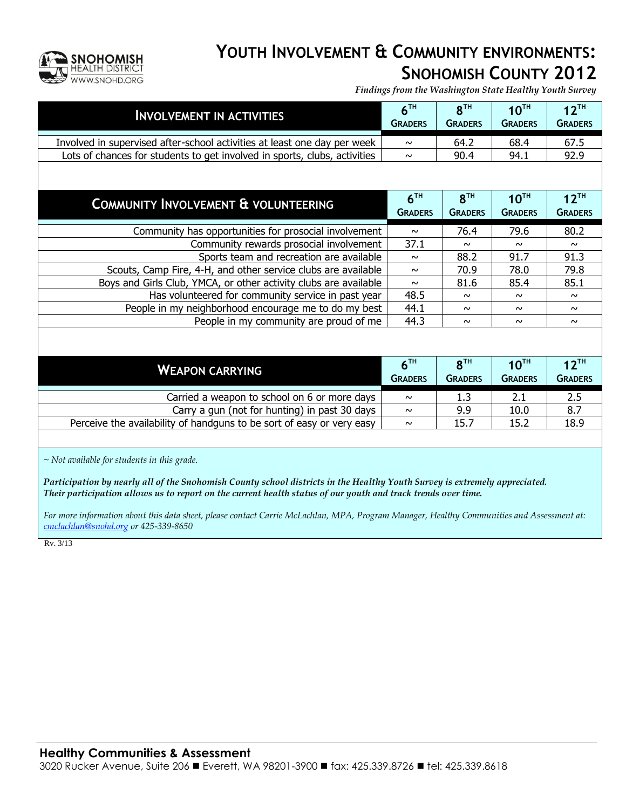

#### **YOUTH INVOLVEMENT & COMMUNITY ENVIRONMENTS: SNOHOMISH COUNTY 2012**

*Findings from the Washington State Healthy Youth Survey*

| <b>INVOLVEMENT IN ACTIVITIES</b>                                                                                                                                                                                                            | 6 <sup>TH</sup><br><b>GRADERS</b> | 8 <sup>TH</sup><br><b>GRADERS</b> | $10^{TH}$<br><b>GRADERS</b> | $12^{TH}$<br><b>GRADERS</b> |  |  |
|---------------------------------------------------------------------------------------------------------------------------------------------------------------------------------------------------------------------------------------------|-----------------------------------|-----------------------------------|-----------------------------|-----------------------------|--|--|
| Involved in supervised after-school activities at least one day per week                                                                                                                                                                    | $\sim$                            | 64.2                              | 68.4                        | 67.5                        |  |  |
| Lots of chances for students to get involved in sports, clubs, activities                                                                                                                                                                   | $\sim$                            | 90.4                              | 94.1                        | 92.9                        |  |  |
|                                                                                                                                                                                                                                             |                                   |                                   |                             |                             |  |  |
| COMMUNITY INVOLVEMENT & VOLUNTEERING                                                                                                                                                                                                        | 6 <sup>TH</sup>                   | 8 <sup>TH</sup>                   | $10^{TH}$                   | $12^{TH}$                   |  |  |
|                                                                                                                                                                                                                                             | <b>GRADERS</b>                    | <b>GRADERS</b>                    | <b>GRADERS</b>              | <b>GRADERS</b>              |  |  |
| Community has opportunities for prosocial involvement                                                                                                                                                                                       | $\sim$                            | 76.4                              | 79.6                        | 80.2                        |  |  |
| Community rewards prosocial involvement                                                                                                                                                                                                     | 37.1                              | $\sim$                            | $\sim$                      | $\sim$                      |  |  |
| Sports team and recreation are available                                                                                                                                                                                                    | $\sim$                            | 88.2                              | 91.7                        | 91.3                        |  |  |
| Scouts, Camp Fire, 4-H, and other service clubs are available                                                                                                                                                                               | $\sim$                            | 70.9                              | 78.0                        | 79.8                        |  |  |
| Boys and Girls Club, YMCA, or other activity clubs are available                                                                                                                                                                            | $\sim$                            | 81.6                              | 85.4                        | 85.1                        |  |  |
| Has volunteered for community service in past year                                                                                                                                                                                          | 48.5                              | $\sim$                            | $\sim$                      | $\sim$                      |  |  |
| People in my neighborhood encourage me to do my best                                                                                                                                                                                        | 44.1                              | $\sim$                            | $\sim$                      | $\sim$                      |  |  |
| People in my community are proud of me                                                                                                                                                                                                      | 44.3                              | $\sim$                            | $\sim$                      | $\sim$                      |  |  |
|                                                                                                                                                                                                                                             |                                   |                                   |                             |                             |  |  |
|                                                                                                                                                                                                                                             | 6 <sup>TH</sup>                   | 8 <sup>TH</sup>                   | 10 <sup>TH</sup>            | $12^{TH}$                   |  |  |
| <b>WEAPON CARRYING</b>                                                                                                                                                                                                                      | <b>GRADERS</b>                    | <b>GRADERS</b>                    | <b>GRADERS</b>              | <b>GRADERS</b>              |  |  |
| Carried a weapon to school on 6 or more days                                                                                                                                                                                                | $\sim$                            | 1.3                               | 2.1                         | 2.5                         |  |  |
| Carry a gun (not for hunting) in past 30 days                                                                                                                                                                                               | $\sim$                            | 9.9                               | 10.0                        | 8.7                         |  |  |
| Perceive the availability of handguns to be sort of easy or very easy                                                                                                                                                                       | $\sim$                            | 15.7                              | 15.2                        | 18.9                        |  |  |
|                                                                                                                                                                                                                                             |                                   |                                   |                             |                             |  |  |
| $\sim$ Not available for students in this grade.                                                                                                                                                                                            |                                   |                                   |                             |                             |  |  |
| Participation by nearly all of the Snohomish County school districts in the Healthy Youth Survey is extremely appreciated.<br>Their participation allows us to report on the current health status of our youth and track trends over time. |                                   |                                   |                             |                             |  |  |
|                                                                                                                                                                                                                                             |                                   |                                   |                             |                             |  |  |
| For more information about this data sheet, please contact Carrie McLachlan, MPA, Program Manager, Healthy Communities and Assessment at:<br>cmclachlan@snohd.org or 425-339-8650                                                           |                                   |                                   |                             |                             |  |  |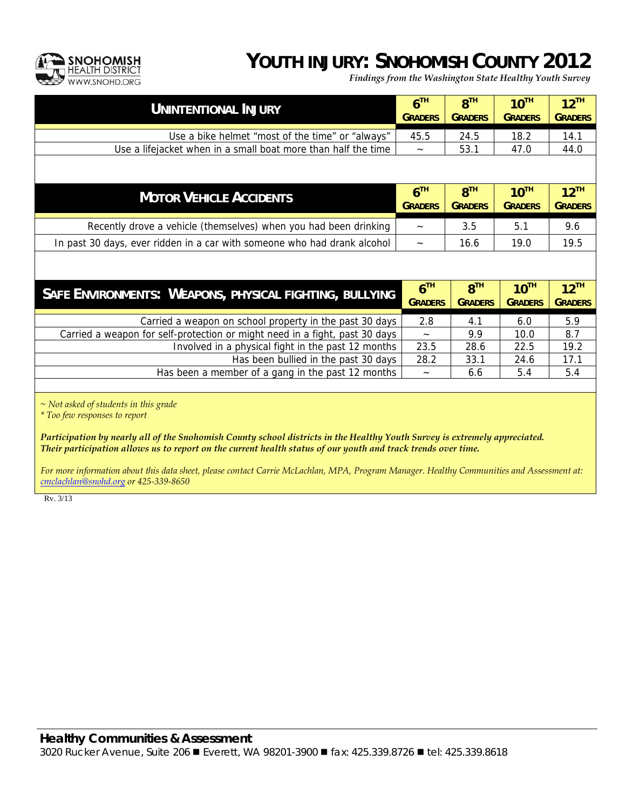

#### **YOUTH INJURY: SNOHOMISH COUNTY 2012**

*Findings from the Washington State Healthy Youth Survey*

| <b>UNINTENTIONAL INJURY</b>                                                 | 6 <sup>TH</sup><br><b>GRADERS</b> | 8 <sup>TH</sup><br><b>GRADERS</b> | 10 <sup>TH</sup><br><b>GRADERS</b> | $12^{TH}$<br><b>GRADERS</b>          |
|-----------------------------------------------------------------------------|-----------------------------------|-----------------------------------|------------------------------------|--------------------------------------|
| Use a bike helmet "most of the time" or "always"                            | 45.5                              | 24.5                              | 18.2                               | 14.1                                 |
| Use a lifejacket when in a small boat more than half the time               |                                   | 53.1                              | 47.0                               | 44.0                                 |
|                                                                             |                                   |                                   |                                    |                                      |
| <b>MOTOR VEHICLE ACCIDENTS</b>                                              | 6 <sup>TH</sup><br><b>GRADERS</b> | 8 <sup>TH</sup><br><b>GRADERS</b> | $10^{TH}$<br><b>GRADERS</b>        | $12^{TH}$<br><b>GRADERS</b>          |
| Recently drove a vehicle (themselves) when you had been drinking            | $\tilde{}$                        | 3.5                               | 5.1                                | 9.6                                  |
| In past 30 days, ever ridden in a car with someone who had drank alcohol    | $\tilde{}$                        | 16.6                              | 19.0                               | 19.5                                 |
|                                                                             |                                   |                                   |                                    |                                      |
| SAFE ENVIRONMENTS: WEAPONS, PHYSICAL FIGHTING, BULLYING                     | 6 <sup>TH</sup><br><b>GRADERS</b> | 8 <sup>TH</sup><br><b>GRADERS</b> | $10^{TH}$<br><b>GRADERS</b>        | $12$ <sup>TH</sup><br><b>GRADERS</b> |
| Carried a weapon on school property in the past 30 days                     | 2.8                               | 4.1                               | 6.0                                | 5.9                                  |
| Carried a weapon for self-protection or might need in a fight, past 30 days | $\widetilde{\phantom{m}}$         | 9.9                               | 10.0                               | 8.7                                  |
| Involved in a physical fight in the past 12 months                          | 23.5                              | 28.6                              | 22.5                               | 19.2                                 |
| Has been bullied in the past 30 days                                        | 28.2                              | 33.1                              | 24.6                               | 17.1                                 |
| Has been a member of a gang in the past 12 months                           | $\tilde{\phantom{a}}$             | 6.6                               | 5.4                                | 5.4                                  |
|                                                                             |                                   |                                   |                                    |                                      |

*~ Not asked of students in this grade* 

*\* Too few responses to report* 

*Participation by nearly all of the Snohomish County school districts in the Healthy Youth Survey is extremely appreciated. Their participation allows us to report on the current health status of our youth and track trends over time.* 

*For more information about this data sheet, please contact Carrie McLachlan, MPA, Program Manager. Healthy Communities and Assessment at: cmclachlan@snohd.org or 425-339-8650*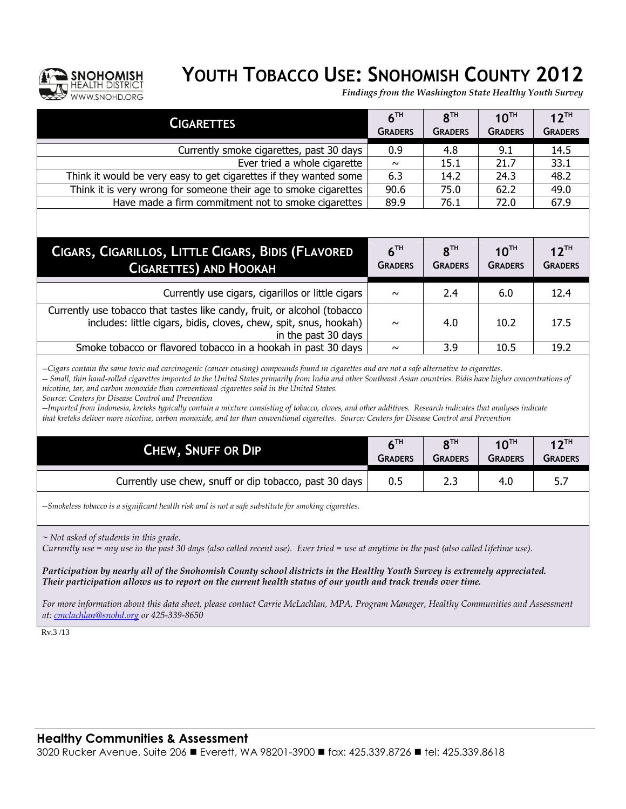

# **YOUTH TOBACCO USE: SNOHOMISH COUNTY 2012**

*Findings from the Washington State Healthy Youth Survey*

| <b>CIGARETTES</b>                                                                                                                                                                                                                                                                                                                                                                                                                                                                                                                                                                                                                                                                                                                                                                       | 6 <sup>TH</sup><br><b>GRADERS</b> | 8 <sup>TH</sup><br><b>GRADERS</b> | $10^{TH}$<br><b>GRADERS</b> | $12^{TH}$<br><b>GRADERS</b> |  |  |
|-----------------------------------------------------------------------------------------------------------------------------------------------------------------------------------------------------------------------------------------------------------------------------------------------------------------------------------------------------------------------------------------------------------------------------------------------------------------------------------------------------------------------------------------------------------------------------------------------------------------------------------------------------------------------------------------------------------------------------------------------------------------------------------------|-----------------------------------|-----------------------------------|-----------------------------|-----------------------------|--|--|
| Currently smoke cigarettes, past 30 days                                                                                                                                                                                                                                                                                                                                                                                                                                                                                                                                                                                                                                                                                                                                                | 0.9                               | 4.8                               | 9.1                         | 14.5                        |  |  |
| Ever tried a whole cigarette                                                                                                                                                                                                                                                                                                                                                                                                                                                                                                                                                                                                                                                                                                                                                            | $\sim$                            | 15.1                              | 21.7                        | 33.1                        |  |  |
| Think it would be very easy to get cigarettes if they wanted some                                                                                                                                                                                                                                                                                                                                                                                                                                                                                                                                                                                                                                                                                                                       | 6.3                               | 14.2                              | 24.3                        | 48.2                        |  |  |
| Think it is very wrong for someone their age to smoke cigarettes                                                                                                                                                                                                                                                                                                                                                                                                                                                                                                                                                                                                                                                                                                                        | 90.6                              | 75.0                              | 62.2                        | 49.0                        |  |  |
| Have made a firm commitment not to smoke cigarettes                                                                                                                                                                                                                                                                                                                                                                                                                                                                                                                                                                                                                                                                                                                                     | 89.9                              | 76.1                              | 72.0                        | 67.9                        |  |  |
| CIGARS, CIGARILLOS, LITTLE CIGARS, BIDIS (FLAVORED<br><b>CIGARETTES) AND HOOKAH</b>                                                                                                                                                                                                                                                                                                                                                                                                                                                                                                                                                                                                                                                                                                     | 6 <sup>TH</sup><br><b>GRADERS</b> | $R^{TH}$<br><b>GRADERS</b>        | $10^{TH}$<br><b>GRADERS</b> | $12^{TH}$<br><b>GRADERS</b> |  |  |
|                                                                                                                                                                                                                                                                                                                                                                                                                                                                                                                                                                                                                                                                                                                                                                                         |                                   |                                   |                             |                             |  |  |
| Currently use cigars, cigarillos or little cigars                                                                                                                                                                                                                                                                                                                                                                                                                                                                                                                                                                                                                                                                                                                                       | $\sim$                            | 2.4                               | 6.0                         | 12.4                        |  |  |
| Currently use tobacco that tastes like candy, fruit, or alcohol (tobacco<br>includes: little cigars, bidis, cloves, chew, spit, snus, hookah)<br>in the past 30 days                                                                                                                                                                                                                                                                                                                                                                                                                                                                                                                                                                                                                    | $\sim$                            | 4.0                               | 10.2                        | 17.5                        |  |  |
| Smoke tobacco or flavored tobacco in a hookah in past 30 days                                                                                                                                                                                                                                                                                                                                                                                                                                                                                                                                                                                                                                                                                                                           | $\sim$                            | 3.9                               | 10.5                        | 19.2                        |  |  |
| --Cigars contain the same toxic and carcinogenic (cancer causing) compounds found in cigarettes and are not a safe alternative to cigarettes.<br>-- Small, thin hand-rolled cigarettes imported to the United States primarily from India and other Southeast Asian countries. Bidis have higher concentrations of<br>nicotine, tar, and carbon monoxide than conventional cigarettes sold in the United States.<br>Source: Centers for Disease Control and Prevention<br>--Imported from Indonesia, kreteks typically contain a mixture consisting of tobacco, cloves, and other additives. Research indicates that analyses indicate<br>that kreteks deliver more nicotine, carbon monoxide, and tar than conventional cigarettes. Source: Centers for Disease Control and Prevention |                                   |                                   |                             |                             |  |  |
|                                                                                                                                                                                                                                                                                                                                                                                                                                                                                                                                                                                                                                                                                                                                                                                         | 6 <sup>TH</sup>                   | 8 <sup>TH</sup>                   | $10^{TH}$                   | $12$ <sup>TH</sup>          |  |  |
| CHEW, SNUFF OR DIP                                                                                                                                                                                                                                                                                                                                                                                                                                                                                                                                                                                                                                                                                                                                                                      | <b>GRADERS</b>                    | <b>GRADERS</b>                    | <b>GRADERS</b>              | <b>GRADERS</b>              |  |  |
| Currently use chew, snuff or dip tobacco, past 30 days                                                                                                                                                                                                                                                                                                                                                                                                                                                                                                                                                                                                                                                                                                                                  | 0.5                               | 2.3                               | 4.0                         | 5.7                         |  |  |
| --Smokeless tobacco is a significant health risk and is not a safe substitute for smoking cigarettes.                                                                                                                                                                                                                                                                                                                                                                                                                                                                                                                                                                                                                                                                                   |                                   |                                   |                             |                             |  |  |
| $\sim$ Not asked of students in this grade.<br>Currently use = any use in the past 30 days (also called recent use). Ever tried = use at anytime in the past (also called lifetime use).<br>Participation by nearly all of the Snohomish County school districts in the Healthy Youth Survey is extremely appreciated.<br>Their participation allows us to report on the current health status of our youth and track trends over time.                                                                                                                                                                                                                                                                                                                                                 |                                   |                                   |                             |                             |  |  |

For more information about this data sheet, please contact Carrie McLachlan, MPA, Program Manager, Healthy Communities and Assessment *at: [cmclachlan@snohd.org](mailto:cmclachlan@snohd.org) or 425-339-8650* 

Rv.3 /13

3020 Rucker Avenue, Suite 206 ■ Everett, WA 98201-3900 ■ fax: 425.339.8726 ■ tel: 425.339.8618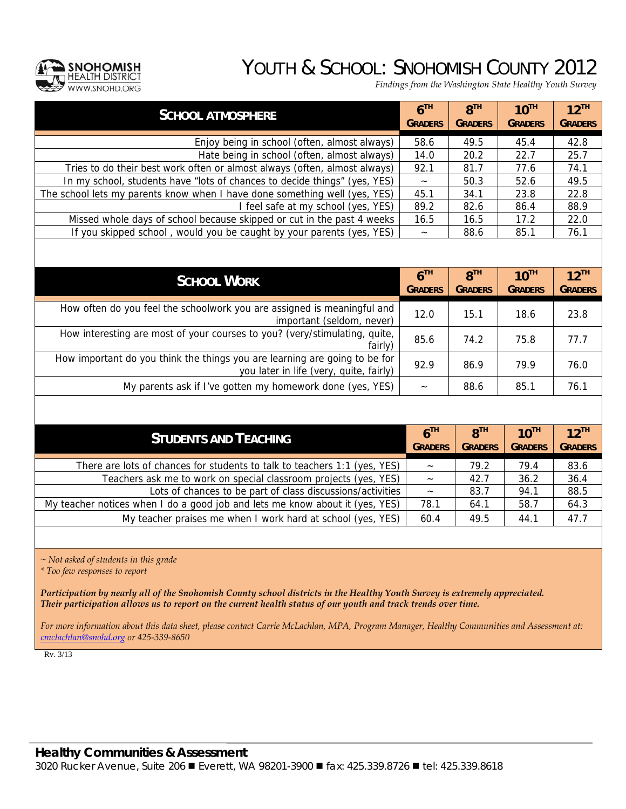## YOUTH & SCHOOL: SNOHOMISH COUNTY 2012



*Findings from the Washington State Healthy Youth Survey*

| <b>SCHOOL ATMOSPHERE</b>                                                                                              | 6 <sup>TH</sup><br><b>GRADERS</b> | 8 <sup>TH</sup><br><b>GRADERS</b> | $10^{TH}$<br><b>GRADERS</b> | $12$ <sup>TH</sup><br><b>GRADERS</b> |
|-----------------------------------------------------------------------------------------------------------------------|-----------------------------------|-----------------------------------|-----------------------------|--------------------------------------|
| Enjoy being in school (often, almost always)                                                                          | 58.6                              | 49.5                              | 45.4                        | 42.8                                 |
| Hate being in school (often, almost always)                                                                           | 14.0                              | 20.2                              | 22.7                        | 25.7                                 |
| Tries to do their best work often or almost always (often, almost always)                                             | 92.1                              | 81.7                              | 77.6                        | 74.1                                 |
| In my school, students have "lots of chances to decide things" (yes, YES)                                             |                                   | 50.3                              | 52.6                        | 49.5                                 |
| The school lets my parents know when I have done something well (yes, YES)                                            | 45.1                              | 34.1                              | 23.8                        | 22.8                                 |
| I feel safe at my school (yes, YES)                                                                                   | 89.2                              | 82.6                              | 86.4                        | 88.9                                 |
| Missed whole days of school because skipped or cut in the past 4 weeks                                                | 16.5                              | 16.5                              | 17.2                        | 22.0                                 |
| If you skipped school, would you be caught by your parents (yes, YES)                                                 | $\widetilde{\phantom{m}}$         | 88.6                              | 85.1                        | 76.1                                 |
|                                                                                                                       |                                   |                                   |                             |                                      |
| <b>SCHOOL WORK</b>                                                                                                    | 6 <sup>TH</sup>                   | 8 <sup>TH</sup>                   | $10^{TH}$                   | $12^{TH}$                            |
|                                                                                                                       | <b>GRADERS</b>                    | <b>GRADERS</b>                    | <b>GRADERS</b>              | <b>GRADERS</b>                       |
| How often do you feel the schoolwork you are assigned is meaningful and<br>important (seldom, never)                  | 12.0                              | 15.1                              | 18.6                        | 23.8                                 |
| How interesting are most of your courses to you? (very/stimulating, quite,<br>fairly)                                 | 85.6                              | 74.2                              | 75.8                        | 77.7                                 |
| How important do you think the things you are learning are going to be for<br>you later in life (very, quite, fairly) | 92.9                              | 86.9                              | 79.9                        | 76.0                                 |
| My parents ask if I've gotten my homework done (yes, YES)                                                             | $\widetilde{\phantom{m}}$         | 88.6                              | 85.1                        | 76.1                                 |
|                                                                                                                       |                                   |                                   |                             |                                      |
| <b>STUDENTS AND TEACHING</b>                                                                                          | 6 <sup>TH</sup>                   | 8 <sup>TH</sup>                   | $10^{TH}$                   | $12$ <sup>TH</sup>                   |
|                                                                                                                       | <b>GRADERS</b>                    | <b>GRADERS</b>                    | <b>GRADERS</b>              | <b>GRADERS</b>                       |
| There are lots of chances for students to talk to teachers 1:1 (yes, YES)                                             |                                   | 79.2                              | 79.4                        | 83.6                                 |
| Teachers ask me to work on special classroom projects (yes, YES)                                                      | $\widetilde{\phantom{m}}$         | 42.7                              | 36.2                        | 36.4                                 |
| Lots of chances to be part of class discussions/activities                                                            | $\tilde{}$                        | 83.7                              | 94.1                        | 88.5                                 |
| My teacher notices when I do a good job and lets me know about it (yes, YES)                                          | 78.1                              | 64.1                              | 58.7                        | 64.3                                 |

*~ Not asked of students in this grade* 

*\* Too few responses to report* 

*Participation by nearly all of the Snohomish County school districts in the Healthy Youth Survey is extremely appreciated. Their participation allows us to report on the current health status of our youth and track trends over time.* 

*For more information about this data sheet, please contact Carrie McLachlan, MPA, Program Manager, Healthy Communities and Assessment at: cmclachlan@snohd.org or 425-339-8650* 

My teacher praises me when I work hard at school (yes, YES) 60.4 49.5 44.1 47.7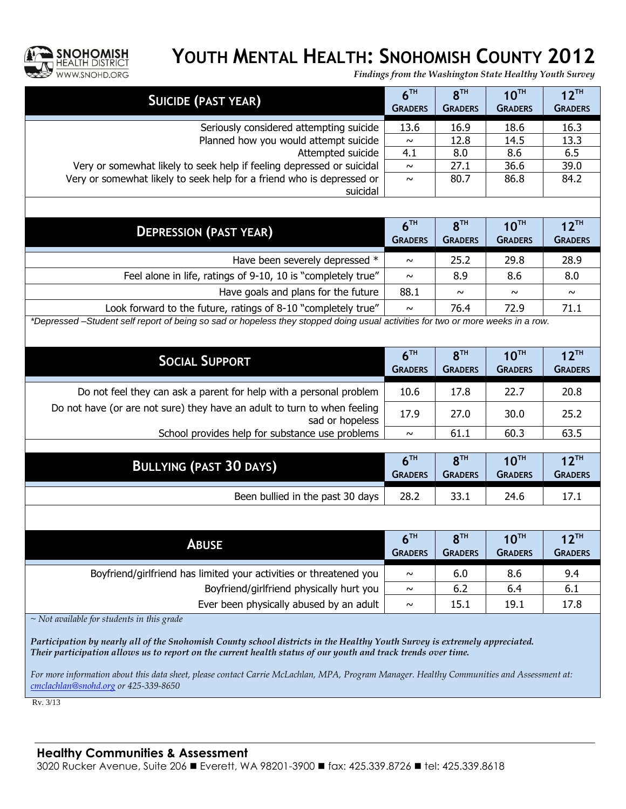

### **YOUTH MENTAL HEALTH: SNOHOMISH COUNTY 2012**

*Findings from the Washington State Healthy Youth Survey*

| <b>SUICIDE (PAST YEAR)</b>                                                                                                     | 6 <sup>TH</sup><br><b>GRADERS</b> | 8 <sup>TH</sup><br><b>GRADERS</b> | $10^{TH}$<br><b>GRADERS</b> | $12^{TH}$<br><b>GRADERS</b> |  |
|--------------------------------------------------------------------------------------------------------------------------------|-----------------------------------|-----------------------------------|-----------------------------|-----------------------------|--|
| Seriously considered attempting suicide                                                                                        | 13.6                              | 16.9                              | 18.6                        | 16.3                        |  |
| Planned how you would attempt suicide                                                                                          | $\sim$                            | 12.8                              | 14.5                        | 13.3                        |  |
| Attempted suicide                                                                                                              | 4.1                               | 8.0                               | 8.6                         | 6.5                         |  |
| Very or somewhat likely to seek help if feeling depressed or suicidal                                                          | $\sim$                            | 27.1                              | 36.6                        | 39.0                        |  |
| Very or somewhat likely to seek help for a friend who is depressed or<br>suicidal                                              | $\sim$                            | 80.7                              | 86.8                        | 84.2                        |  |
|                                                                                                                                |                                   |                                   |                             |                             |  |
| <b>DEPRESSION (PAST YEAR)</b>                                                                                                  | 6 <sup>TH</sup>                   | 8 <sup>TH</sup>                   | $10^{TH}$                   | $12$ <sup>TH</sup>          |  |
|                                                                                                                                | <b>GRADERS</b>                    | <b>GRADERS</b>                    | <b>GRADERS</b>              | <b>GRADERS</b>              |  |
| Have been severely depressed *                                                                                                 | $\sim$                            | 25.2                              | 29.8                        | 28.9                        |  |
| Feel alone in life, ratings of 9-10, 10 is "completely true"                                                                   | $\sim$                            | 8.9                               | 8.6                         | 8.0                         |  |
| Have goals and plans for the future                                                                                            | 88.1                              | $\sim$                            | $\sim$                      | $\sim$                      |  |
| Look forward to the future, ratings of 8-10 "completely true"                                                                  | $\sim$                            | 76.4                              | 72.9                        | 71.1                        |  |
| *Depressed-Student self report of being so sad or hopeless they stopped doing usual activities for two or more weeks in a row. |                                   |                                   |                             |                             |  |
| <b>SOCIAL SUPPORT</b>                                                                                                          | 6 <sup>TH</sup><br><b>GRADERS</b> | 8 <sup>TH</sup><br><b>GRADERS</b> | $10^{TH}$<br><b>GRADERS</b> | $12^{TH}$<br><b>GRADERS</b> |  |
| Do not feel they can ask a parent for help with a personal problem                                                             | 10.6                              | 17.8                              | 22.7                        | 20.8                        |  |
| Do not have (or are not sure) they have an adult to turn to when feeling<br>sad or hopeless                                    | 17.9                              | 27.0                              | 30.0                        | 25.2                        |  |
| School provides help for substance use problems                                                                                | $\sim$                            | 61.1                              | 60.3                        | 63.5                        |  |
|                                                                                                                                |                                   |                                   |                             |                             |  |
| <b>BULLYING (PAST 30 DAYS)</b>                                                                                                 | 6 <sup>TH</sup><br><b>GRADERS</b> | 8 <sup>TH</sup><br><b>GRADERS</b> | $10^{TH}$<br><b>GRADERS</b> | $12^{TH}$<br><b>GRADERS</b> |  |
| Been bullied in the past 30 days                                                                                               | 28.2                              | 33.1                              | 24.6                        | 17.1                        |  |
|                                                                                                                                |                                   |                                   |                             |                             |  |
| <b>ABUSE</b>                                                                                                                   | 6 <sup>TH</sup>                   | 8 <sup>TH</sup>                   | $10^{TH}$                   | $12$ <sup>TH</sup>          |  |
|                                                                                                                                | <b>GRADERS</b>                    | <b>GRADERS</b>                    | <b>GRADERS</b>              | <b>GRADERS</b>              |  |
| Boyfriend/girlfriend has limited your activities or threatened you                                                             | $\sim$                            | 6.0                               | 8.6                         | 9.4                         |  |
| Boyfriend/girlfriend physically hurt you                                                                                       | $\sim$                            | 6.2                               | 6.4                         | 6.1                         |  |
| Ever been physically abused by an adult                                                                                        | $\sim$                            | 15.1                              | 19.1                        | 17.8                        |  |
| $\sim$ Not available for students in this grade                                                                                |                                   |                                   |                             |                             |  |
| Participation by nearly all of the Snohomish County school districts in the Healthy Youth Survey is extremely appreciated.     |                                   |                                   |                             |                             |  |

*For more information about this data sheet, please contact Carrie McLachlan, MPA, Program Manager. Healthy Communities and Assessment at: [cmclachlan@snohd.org](mailto:cmclachlan@snohd.org) or 425-339-8650*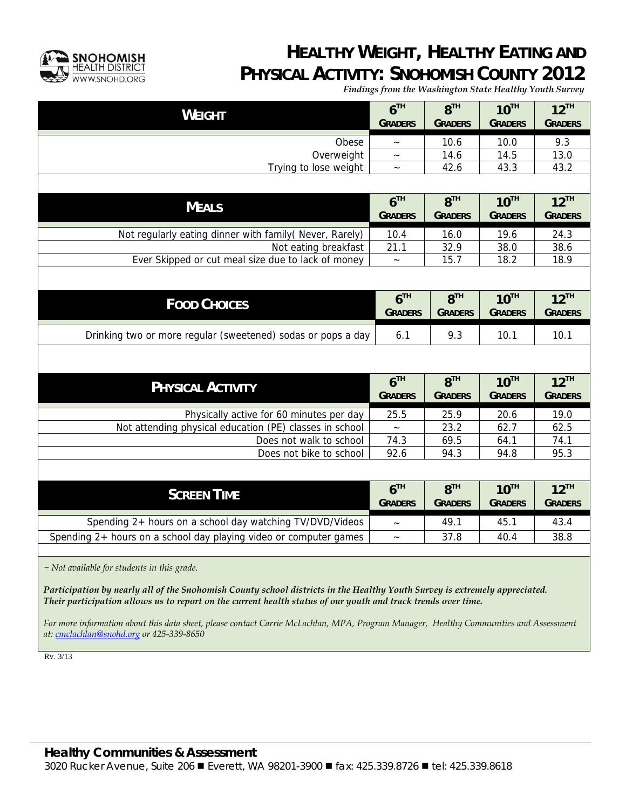

#### **HEALTHY WEIGHT, HEALTHY EATING AND PHYSICAL ACTIVITY: SNOHOMISH COUNTY 2012**

*Findings from the Washington State Healthy Youth Survey*

| <b>WEIGHT</b>                                                     | 6 <sup>TH</sup><br><b>GRADERS</b> | 8 <sup>TH</sup><br><b>GRADERS</b> | $10^{TH}$<br><b>GRADERS</b> | $12^{TH}$<br><b>GRADERS</b> |
|-------------------------------------------------------------------|-----------------------------------|-----------------------------------|-----------------------------|-----------------------------|
| Obese                                                             |                                   | 10.6                              | 10.0                        | 9.3                         |
| Overweight                                                        | $\widetilde{\phantom{m}}$         | 14.6                              | 14.5                        | 13.0                        |
| Trying to lose weight                                             | $\thicksim$                       | 42.6                              | 43.3                        | 43.2                        |
|                                                                   |                                   |                                   |                             |                             |
| <b>MEALS</b>                                                      | 6 <sup>TH</sup><br><b>GRADERS</b> | 8 <sup>TH</sup><br><b>GRADERS</b> | $10^{TH}$<br><b>GRADERS</b> | $12^{TH}$<br><b>GRADERS</b> |
| Not regularly eating dinner with family (Never, Rarely)           | 10.4                              | 16.0                              | 19.6                        | 24.3                        |
| Not eating breakfast                                              | 21.1                              | 32.9                              | 38.0                        | 38.6                        |
| Ever Skipped or cut meal size due to lack of money                | $\widetilde{\phantom{m}}$         | 15.7                              | 18.2                        | 18.9                        |
| <b>FOOD CHOICES</b>                                               | 6 <sup>TH</sup>                   | $R^{TH}$                          | $10^{TH}$                   | $12^{TH}$                   |
|                                                                   | <b>GRADERS</b>                    | <b>GRADERS</b>                    | <b>GRADERS</b>              | <b>GRADERS</b>              |
| Drinking two or more regular (sweetened) sodas or pops a day      | 6.1                               | 9.3                               | 10.1                        | 10.1                        |
|                                                                   |                                   |                                   |                             |                             |
| <b>PHYSICAL ACTIVITY</b>                                          | 6 <sup>TH</sup>                   | 8 <sup>TH</sup>                   | $10^{TH}$                   | $12^{TH}$                   |
|                                                                   | <b>GRADERS</b>                    | <b>GRADERS</b>                    | <b>GRADERS</b>              | <b>GRADERS</b>              |
| Physically active for 60 minutes per day                          | 25.5                              | 25.9                              | 20.6                        | 19.0                        |
| Not attending physical education (PE) classes in school           |                                   | 23.2                              | 62.7                        | 62.5                        |
| Does not walk to school                                           | 74.3                              | 69.5                              | 64.1                        | 74.1                        |
| Does not bike to school                                           | 92.6                              | 94.3                              | 94.8                        | 95.3                        |
|                                                                   |                                   |                                   |                             |                             |
| <b>SCREEN TIME</b>                                                | 6 <sup>TH</sup><br><b>GRADERS</b> | 8 <sup>TH</sup><br><b>GRADERS</b> | $10^{TH}$<br><b>GRADERS</b> | $12^{TH}$<br><b>GRADERS</b> |
| Spending 2+ hours on a school day watching TV/DVD/Videos          | $\widetilde{\phantom{m}}$         | 49.1                              | 45.1                        | 43.4                        |
| Spending 2+ hours on a school day playing video or computer games | $\widetilde{\phantom{m}}$         | 37.8                              | 40.4                        | 38.8                        |
|                                                                   |                                   |                                   |                             |                             |

*~ Not available for students in this grade.* 

*Participation by nearly all of the Snohomish County school districts in the Healthy Youth Survey is extremely appreciated. Their participation allows us to report on the current health status of our youth and track trends over time.* 

*For more information about this data sheet, please contact Carrie McLachlan, MPA, Program Manager, Healthy Communities and Assessment at: cmclachlan@snohd.org or 425-339-8650*